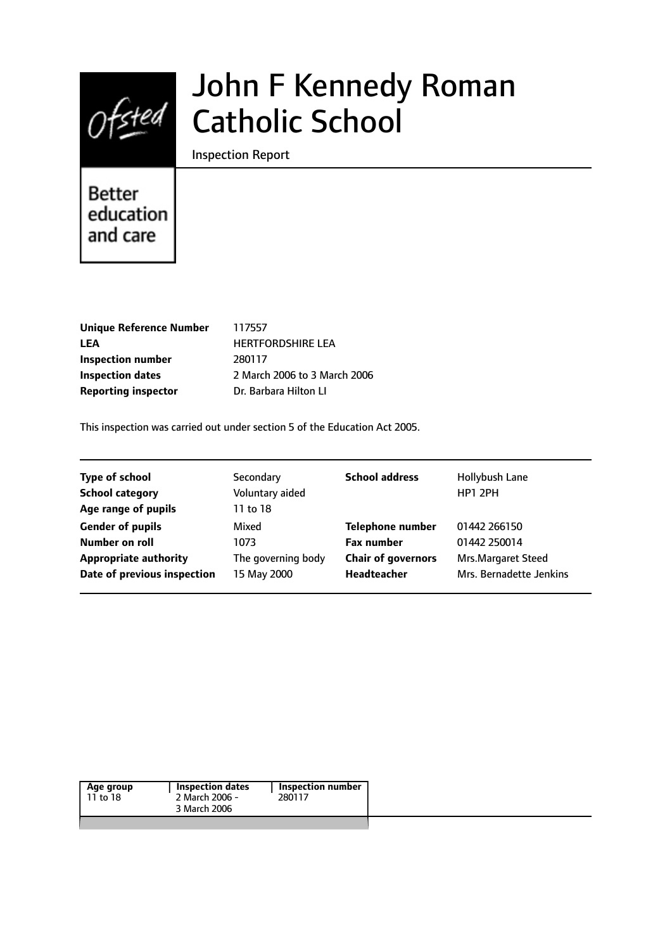

# John F Kennedy Roman Catholic School

Inspection Report

# **Better** education and care

| <b>Unique Reference Number</b> |
|--------------------------------|
| LEA                            |
| <b>Inspection number</b>       |
| <b>Inspection dates</b>        |
| <b>Reporting inspector</b>     |

**Unique Reference Number** 117557 **LEA** HERTFORDSHIRE LEA **Inspection number** 280117 **Inspection dates** 2 March 2006 to 3 March 2006 **Reporting inspector** Dr. Barbara Hilton LI

This inspection was carried out under section 5 of the Education Act 2005.

| <b>Type of school</b>        | Secondary          | <b>School address</b>     | Hollybush Lane          |
|------------------------------|--------------------|---------------------------|-------------------------|
| <b>School category</b>       | Voluntary aided    |                           | HP1 2PH                 |
| Age range of pupils          | 11 to 18           |                           |                         |
| <b>Gender of pupils</b>      | Mixed              | <b>Telephone number</b>   | 01442 266150            |
| Number on roll               | 1073               | <b>Fax number</b>         | 01442 250014            |
| <b>Appropriate authority</b> | The governing body | <b>Chair of governors</b> | Mrs.Margaret Steed      |
| Date of previous inspection  | 15 May 2000        | Headteacher               | Mrs. Bernadette Jenkins |

| 280117 |
|--------|
|        |
|        |
|        |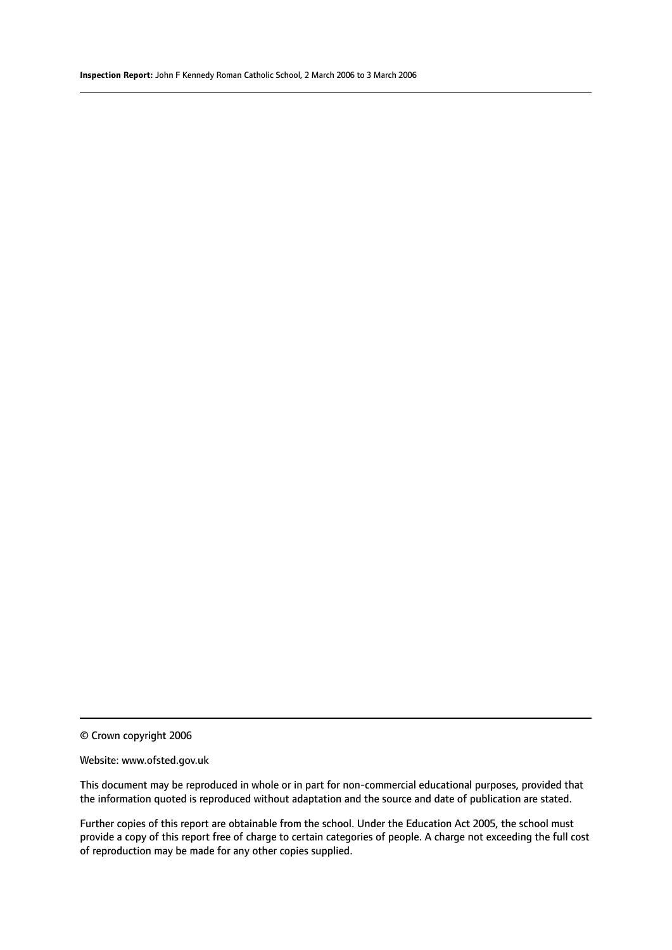© Crown copyright 2006

#### Website: www.ofsted.gov.uk

This document may be reproduced in whole or in part for non-commercial educational purposes, provided that the information quoted is reproduced without adaptation and the source and date of publication are stated.

Further copies of this report are obtainable from the school. Under the Education Act 2005, the school must provide a copy of this report free of charge to certain categories of people. A charge not exceeding the full cost of reproduction may be made for any other copies supplied.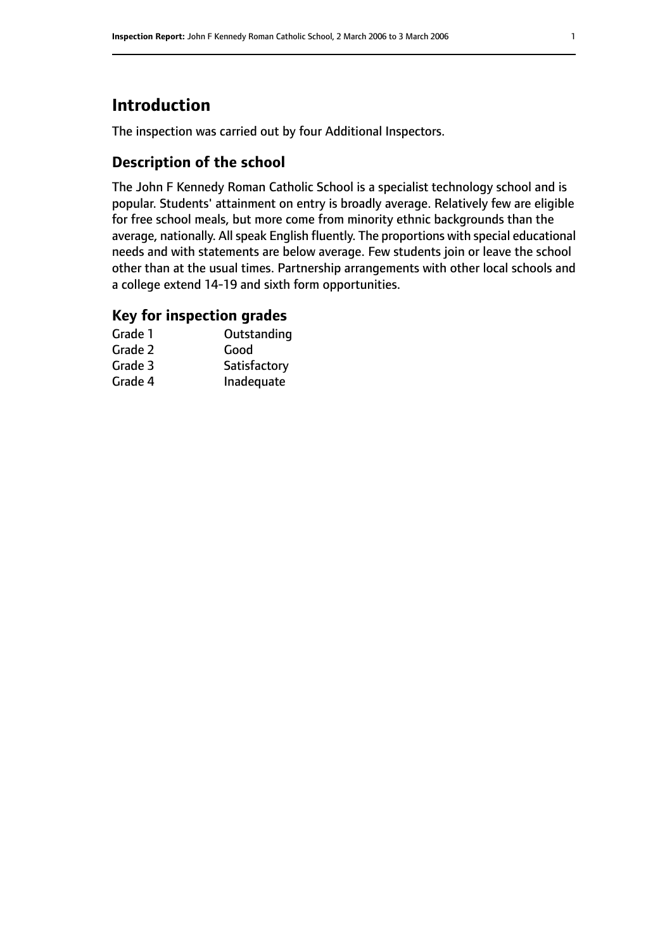# **Introduction**

The inspection was carried out by four Additional Inspectors.

# **Description of the school**

The John F Kennedy Roman Catholic School is a specialist technology school and is popular. Students' attainment on entry is broadly average. Relatively few are eligible for free school meals, but more come from minority ethnic backgrounds than the average, nationally. All speak English fluently. The proportions with special educational needs and with statements are below average. Few students join or leave the school other than at the usual times. Partnership arrangements with other local schools and a college extend 14-19 and sixth form opportunities.

# **Key for inspection grades**

| Grade 1 | Outstanding  |
|---------|--------------|
| Grade 2 | Good         |
| Grade 3 | Satisfactory |
| Grade 4 | Inadequate   |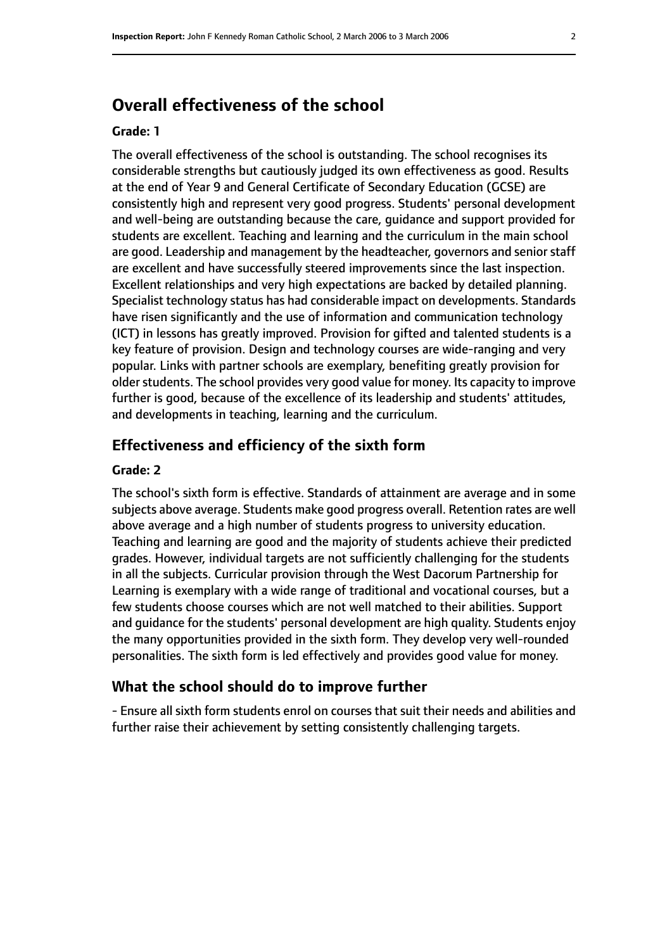# **Overall effectiveness of the school**

#### **Grade: 1**

The overall effectiveness of the school is outstanding. The school recognises its considerable strengths but cautiously judged its own effectiveness as good. Results at the end of Year 9 and General Certificate of Secondary Education (GCSE) are consistently high and represent very good progress. Students' personal development and well-being are outstanding because the care, guidance and support provided for students are excellent. Teaching and learning and the curriculum in the main school are good. Leadership and management by the headteacher, governors and senior staff are excellent and have successfully steered improvements since the last inspection. Excellent relationships and very high expectations are backed by detailed planning. Specialist technology status has had considerable impact on developments. Standards have risen significantly and the use of information and communication technology (ICT) in lessons has greatly improved. Provision for gifted and talented students is a key feature of provision. Design and technology courses are wide-ranging and very popular. Links with partner schools are exemplary, benefiting greatly provision for older students. The school provides very good value for money. Its capacity to improve further is good, because of the excellence of its leadership and students' attitudes, and developments in teaching, learning and the curriculum.

#### **Effectiveness and efficiency of the sixth form**

#### **Grade: 2**

The school's sixth form is effective. Standards of attainment are average and in some subjects above average. Students make good progress overall. Retention rates are well above average and a high number of students progress to university education. Teaching and learning are good and the majority of students achieve their predicted grades. However, individual targets are not sufficiently challenging for the students in all the subjects. Curricular provision through the West Dacorum Partnership for Learning is exemplary with a wide range of traditional and vocational courses, but a few students choose courses which are not well matched to their abilities. Support and guidance for the students' personal development are high quality. Students enjoy the many opportunities provided in the sixth form. They develop very well-rounded personalities. The sixth form is led effectively and provides good value for money.

#### **What the school should do to improve further**

- Ensure all sixth form students enrol on courses that suit their needs and abilities and further raise their achievement by setting consistently challenging targets.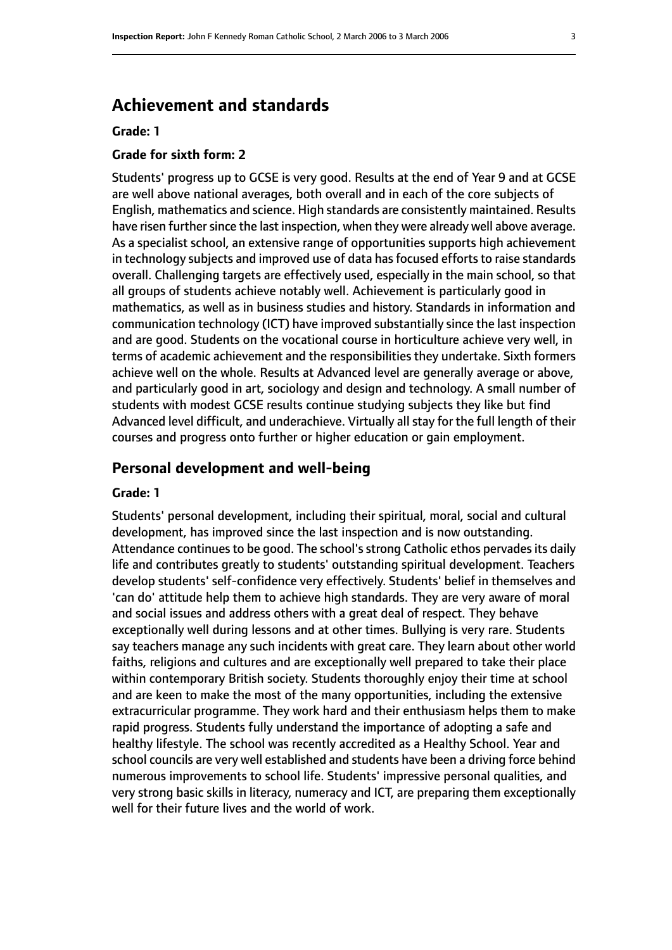# **Achievement and standards**

#### **Grade: 1**

#### **Grade for sixth form: 2**

Students' progress up to GCSE is very good. Results at the end of Year 9 and at GCSE are well above national averages, both overall and in each of the core subjects of English, mathematics and science. High standards are consistently maintained. Results have risen further since the last inspection, when they were already well above average. As a specialist school, an extensive range of opportunities supports high achievement in technology subjects and improved use of data has focused efforts to raise standards overall. Challenging targets are effectively used, especially in the main school, so that all groups of students achieve notably well. Achievement is particularly good in mathematics, as well as in business studies and history. Standards in information and communication technology (ICT) have improved substantially since the last inspection and are good. Students on the vocational course in horticulture achieve very well, in terms of academic achievement and the responsibilities they undertake. Sixth formers achieve well on the whole. Results at Advanced level are generally average or above, and particularly good in art, sociology and design and technology. A small number of students with modest GCSE results continue studying subjects they like but find Advanced level difficult, and underachieve. Virtually all stay for the full length of their courses and progress onto further or higher education or gain employment.

#### **Personal development and well-being**

#### **Grade: 1**

Students' personal development, including their spiritual, moral, social and cultural development, has improved since the last inspection and is now outstanding. Attendance continues to be good. The school's strong Catholic ethos pervades its daily life and contributes greatly to students' outstanding spiritual development. Teachers develop students' self-confidence very effectively. Students' belief in themselves and 'can do' attitude help them to achieve high standards. They are very aware of moral and social issues and address others with a great deal of respect. They behave exceptionally well during lessons and at other times. Bullying is very rare. Students say teachers manage any such incidents with great care. They learn about other world faiths, religions and cultures and are exceptionally well prepared to take their place within contemporary British society. Students thoroughly enjoy their time at school and are keen to make the most of the many opportunities, including the extensive extracurricular programme. They work hard and their enthusiasm helps them to make rapid progress. Students fully understand the importance of adopting a safe and healthy lifestyle. The school was recently accredited as a Healthy School. Year and school councils are very well established and students have been a driving force behind numerous improvements to school life. Students' impressive personal qualities, and very strong basic skills in literacy, numeracy and ICT, are preparing them exceptionally well for their future lives and the world of work.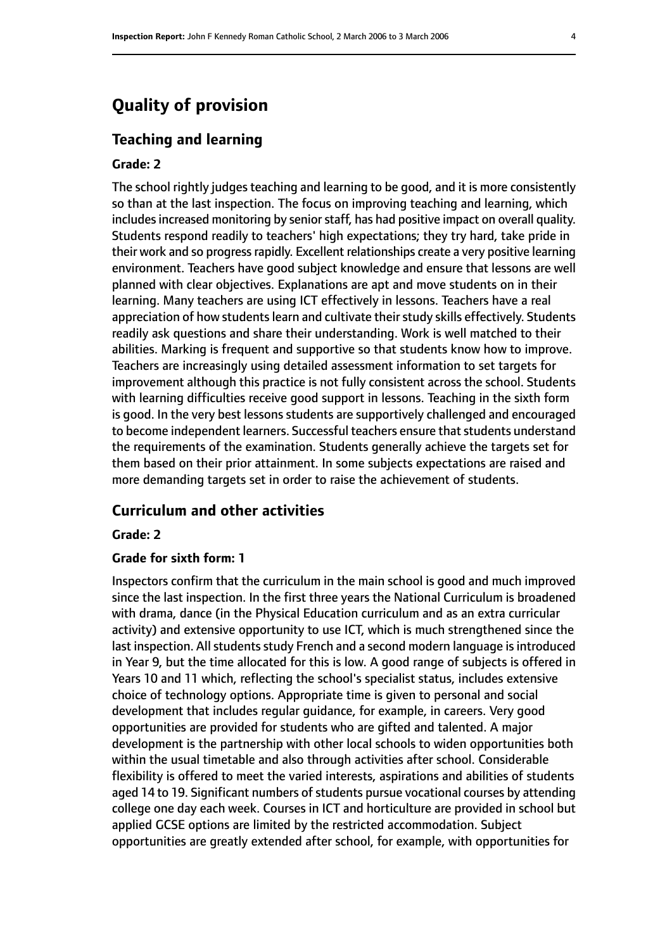# **Quality of provision**

#### **Teaching and learning**

#### **Grade: 2**

The school rightly judges teaching and learning to be good, and it is more consistently so than at the last inspection. The focus on improving teaching and learning, which includes increased monitoring by senior staff, has had positive impact on overall quality. Students respond readily to teachers' high expectations; they try hard, take pride in their work and so progress rapidly. Excellent relationships create a very positive learning environment. Teachers have good subject knowledge and ensure that lessons are well planned with clear objectives. Explanations are apt and move students on in their learning. Many teachers are using ICT effectively in lessons. Teachers have a real appreciation of how students learn and cultivate their study skills effectively. Students readily ask questions and share their understanding. Work is well matched to their abilities. Marking is frequent and supportive so that students know how to improve. Teachers are increasingly using detailed assessment information to set targets for improvement although this practice is not fully consistent across the school. Students with learning difficulties receive good support in lessons. Teaching in the sixth form is good. In the very best lessons students are supportively challenged and encouraged to become independent learners. Successful teachers ensure that students understand the requirements of the examination. Students generally achieve the targets set for them based on their prior attainment. In some subjects expectations are raised and more demanding targets set in order to raise the achievement of students.

#### **Curriculum and other activities**

#### **Grade: 2**

#### **Grade for sixth form: 1**

Inspectors confirm that the curriculum in the main school is good and much improved since the last inspection. In the first three years the National Curriculum is broadened with drama, dance (in the Physical Education curriculum and as an extra curricular activity) and extensive opportunity to use ICT, which is much strengthened since the last inspection. All students study French and a second modern language is introduced in Year 9, but the time allocated for this is low. A good range of subjects is offered in Years 10 and 11 which, reflecting the school's specialist status, includes extensive choice of technology options. Appropriate time is given to personal and social development that includes regular guidance, for example, in careers. Very good opportunities are provided for students who are gifted and talented. A major development is the partnership with other local schools to widen opportunities both within the usual timetable and also through activities after school. Considerable flexibility is offered to meet the varied interests, aspirations and abilities of students aged 14 to 19. Significant numbers of students pursue vocational courses by attending college one day each week. Courses in ICT and horticulture are provided in school but applied GCSE options are limited by the restricted accommodation. Subject opportunities are greatly extended after school, for example, with opportunities for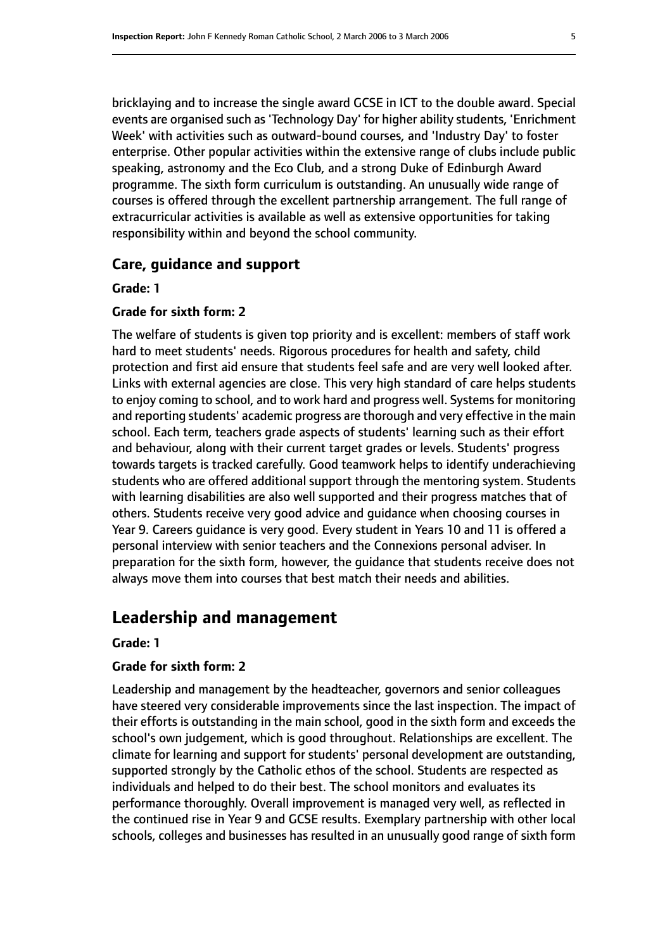bricklaying and to increase the single award GCSE in ICT to the double award. Special events are organised such as 'Technology Day' for higher ability students, 'Enrichment Week' with activities such as outward-bound courses, and 'Industry Day' to foster enterprise. Other popular activities within the extensive range of clubs include public speaking, astronomy and the Eco Club, and a strong Duke of Edinburgh Award programme. The sixth form curriculum is outstanding. An unusually wide range of courses is offered through the excellent partnership arrangement. The full range of extracurricular activities is available as well as extensive opportunities for taking responsibility within and beyond the school community.

### **Care, guidance and support**

**Grade: 1**

#### **Grade for sixth form: 2**

The welfare of students is given top priority and is excellent: members of staff work hard to meet students' needs. Rigorous procedures for health and safety, child protection and first aid ensure that students feel safe and are very well looked after. Links with external agencies are close. This very high standard of care helps students to enjoy coming to school, and to work hard and progress well. Systems for monitoring and reporting students' academic progress are thorough and very effective in the main school. Each term, teachers grade aspects of students' learning such as their effort and behaviour, along with their current target grades or levels. Students' progress towards targets is tracked carefully. Good teamwork helps to identify underachieving students who are offered additional support through the mentoring system. Students with learning disabilities are also well supported and their progress matches that of others. Students receive very good advice and guidance when choosing courses in Year 9. Careers guidance is very good. Every student in Years 10 and 11 is offered a personal interview with senior teachers and the Connexions personal adviser. In preparation for the sixth form, however, the guidance that students receive does not always move them into courses that best match their needs and abilities.

# **Leadership and management**

#### **Grade: 1**

#### **Grade for sixth form: 2**

Leadership and management by the headteacher, governors and senior colleagues have steered very considerable improvements since the last inspection. The impact of their efforts is outstanding in the main school, good in the sixth form and exceeds the school's own judgement, which is good throughout. Relationships are excellent. The climate for learning and support for students' personal development are outstanding, supported strongly by the Catholic ethos of the school. Students are respected as individuals and helped to do their best. The school monitors and evaluates its performance thoroughly. Overall improvement is managed very well, as reflected in the continued rise in Year 9 and GCSE results. Exemplary partnership with other local schools, colleges and businesses has resulted in an unusually good range of sixth form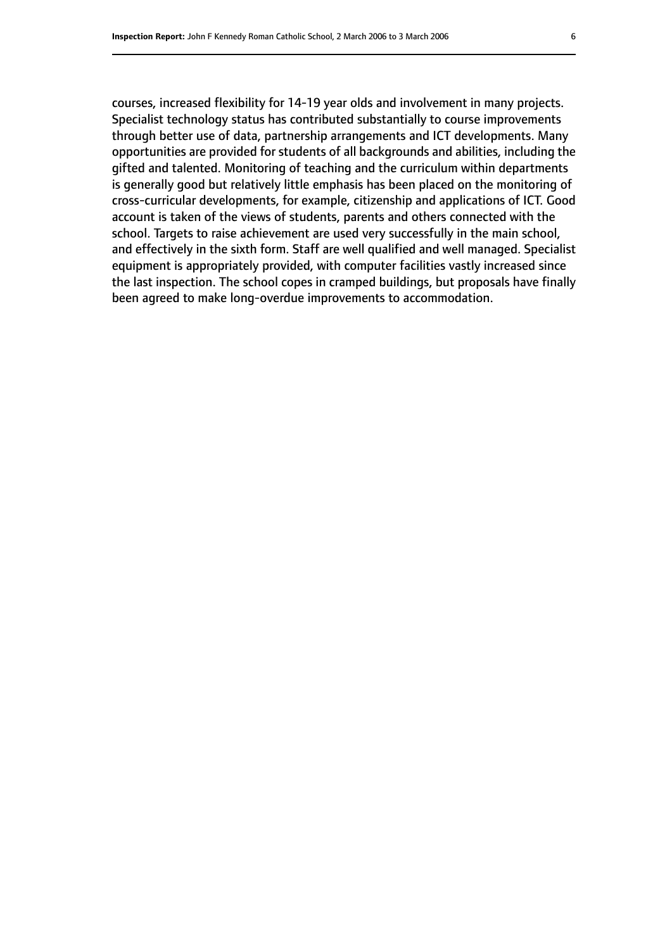courses, increased flexibility for 14-19 year olds and involvement in many projects. Specialist technology status has contributed substantially to course improvements through better use of data, partnership arrangements and ICT developments. Many opportunities are provided for students of all backgrounds and abilities, including the gifted and talented. Monitoring of teaching and the curriculum within departments is generally good but relatively little emphasis has been placed on the monitoring of cross-curricular developments, for example, citizenship and applications of ICT. Good account is taken of the views of students, parents and others connected with the school. Targets to raise achievement are used very successfully in the main school, and effectively in the sixth form. Staff are well qualified and well managed. Specialist equipment is appropriately provided, with computer facilities vastly increased since the last inspection. The school copes in cramped buildings, but proposals have finally been agreed to make long-overdue improvements to accommodation.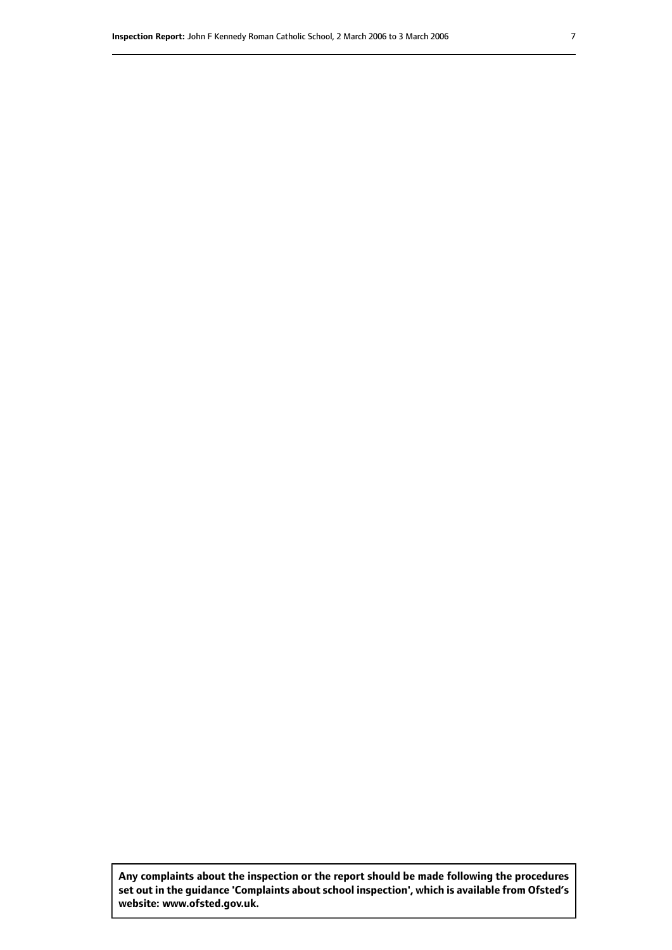**Any complaints about the inspection or the report should be made following the procedures set out inthe guidance 'Complaints about school inspection', whichis available from Ofsted's website: www.ofsted.gov.uk.**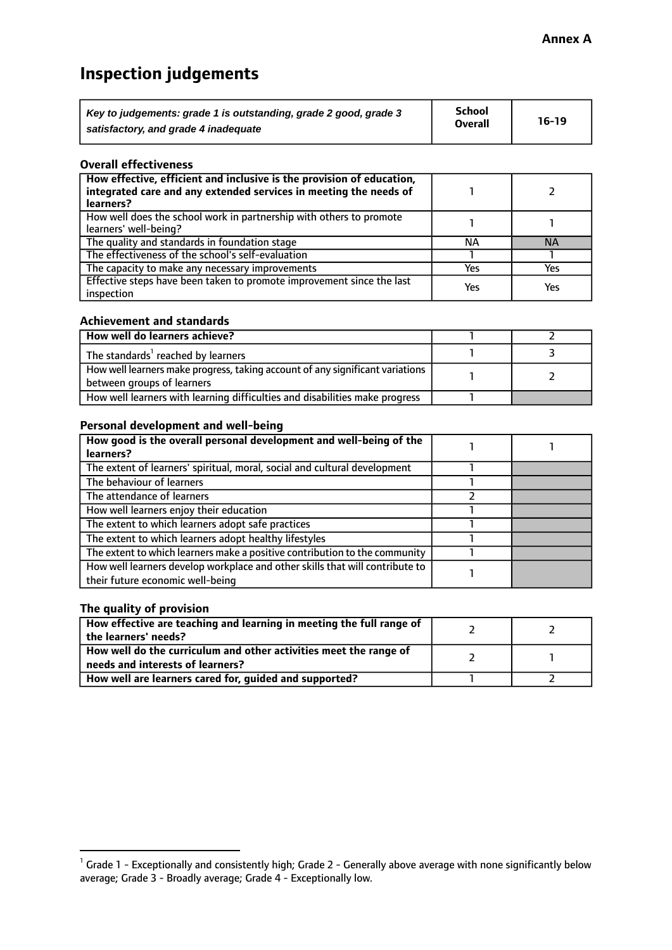# **Inspection judgements**

| Key to judgements: grade 1 is outstanding, grade 2 good, grade 3 | School         | $16-19$ |
|------------------------------------------------------------------|----------------|---------|
| satisfactory, and grade 4 inadequate                             | <b>Overall</b> |         |

#### **Overall effectiveness**

| How effective, efficient and inclusive is the provision of education,<br>integrated care and any extended services in meeting the needs of<br>learners? |     |           |
|---------------------------------------------------------------------------------------------------------------------------------------------------------|-----|-----------|
| How well does the school work in partnership with others to promote<br>learners' well-being?                                                            |     |           |
| The quality and standards in foundation stage                                                                                                           | ΝA  | <b>NA</b> |
| The effectiveness of the school's self-evaluation                                                                                                       |     |           |
| The capacity to make any necessary improvements                                                                                                         | Yes | Yes       |
| Effective steps have been taken to promote improvement since the last<br>inspection                                                                     | Yes | Yes       |

#### **Achievement and standards**

| How well do learners achieve?                                                                                 |  |
|---------------------------------------------------------------------------------------------------------------|--|
| The standards <sup>1</sup> reached by learners                                                                |  |
| How well learners make progress, taking account of any significant variations  <br>between groups of learners |  |
| How well learners with learning difficulties and disabilities make progress                                   |  |

#### **Personal development and well-being**

| How good is the overall personal development and well-being of the                                               |  |
|------------------------------------------------------------------------------------------------------------------|--|
| learners?                                                                                                        |  |
| The extent of learners' spiritual, moral, social and cultural development                                        |  |
| The behaviour of learners                                                                                        |  |
| The attendance of learners                                                                                       |  |
| How well learners enjoy their education                                                                          |  |
| The extent to which learners adopt safe practices                                                                |  |
| The extent to which learners adopt healthy lifestyles                                                            |  |
| The extent to which learners make a positive contribution to the community                                       |  |
| How well learners develop workplace and other skills that will contribute to<br>their future economic well-being |  |

### **The quality of provision**

| How effective are teaching and learning in meeting the full range of<br>the learners' needs?          |  |
|-------------------------------------------------------------------------------------------------------|--|
| How well do the curriculum and other activities meet the range of<br>needs and interests of learners? |  |
| How well are learners cared for, guided and supported?                                                |  |

 $^1$  Grade 1 - Exceptionally and consistently high; Grade 2 - Generally above average with none significantly below average; Grade 3 - Broadly average; Grade 4 - Exceptionally low.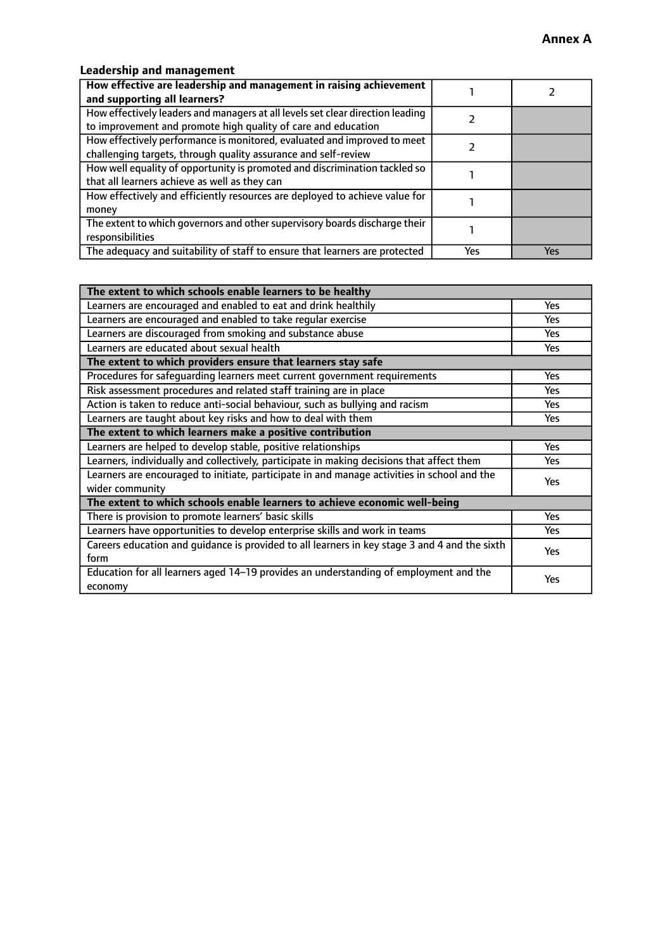# **Leadership and management**

| How effective are leadership and management in raising achievement             |     |     |
|--------------------------------------------------------------------------------|-----|-----|
| and supporting all learners?                                                   |     |     |
| How effectively leaders and managers at all levels set clear direction leading |     |     |
| to improvement and promote high quality of care and education                  |     |     |
| How effectively performance is monitored, evaluated and improved to meet       |     |     |
| challenging targets, through quality assurance and self-review                 |     |     |
| How well equality of opportunity is promoted and discrimination tackled so     |     |     |
| that all learners achieve as well as they can                                  |     |     |
| How effectively and efficiently resources are deployed to achieve value for    |     |     |
| money                                                                          |     |     |
| The extent to which governors and other supervisory boards discharge their     |     |     |
| responsibilities                                                               |     |     |
| The adequacy and suitability of staff to ensure that learners are protected    | Yes | Yes |

| The extent to which schools enable learners to be healthy                                     |            |  |
|-----------------------------------------------------------------------------------------------|------------|--|
| Learners are encouraged and enabled to eat and drink healthily                                | Yes        |  |
| Learners are encouraged and enabled to take regular exercise                                  | <b>Yes</b> |  |
| Learners are discouraged from smoking and substance abuse                                     | Yes        |  |
| Learners are educated about sexual health                                                     | Yes        |  |
| The extent to which providers ensure that learners stay safe                                  |            |  |
| Procedures for safequarding learners meet current government requirements                     | Yes        |  |
| Risk assessment procedures and related staff training are in place                            | <b>Yes</b> |  |
| Action is taken to reduce anti-social behaviour, such as bullying and racism                  | Yes        |  |
| Learners are taught about key risks and how to deal with them                                 | Yes        |  |
| The extent to which learners make a positive contribution                                     |            |  |
| Learners are helped to develop stable, positive relationships                                 | <b>Yes</b> |  |
| Learners, individually and collectively, participate in making decisions that affect them     | <b>Yes</b> |  |
| Learners are encouraged to initiate, participate in and manage activities in school and the   |            |  |
| wider community                                                                               | Yes        |  |
| The extent to which schools enable learners to achieve economic well-being                    |            |  |
| There is provision to promote learners' basic skills                                          | Yes        |  |
| Learners have opportunities to develop enterprise skills and work in teams                    | Yes        |  |
| Careers education and quidance is provided to all learners in key stage 3 and 4 and the sixth | Yes        |  |
| form                                                                                          |            |  |
| Education for all learners aged 14-19 provides an understanding of employment and the         | Yes        |  |
| economy                                                                                       |            |  |